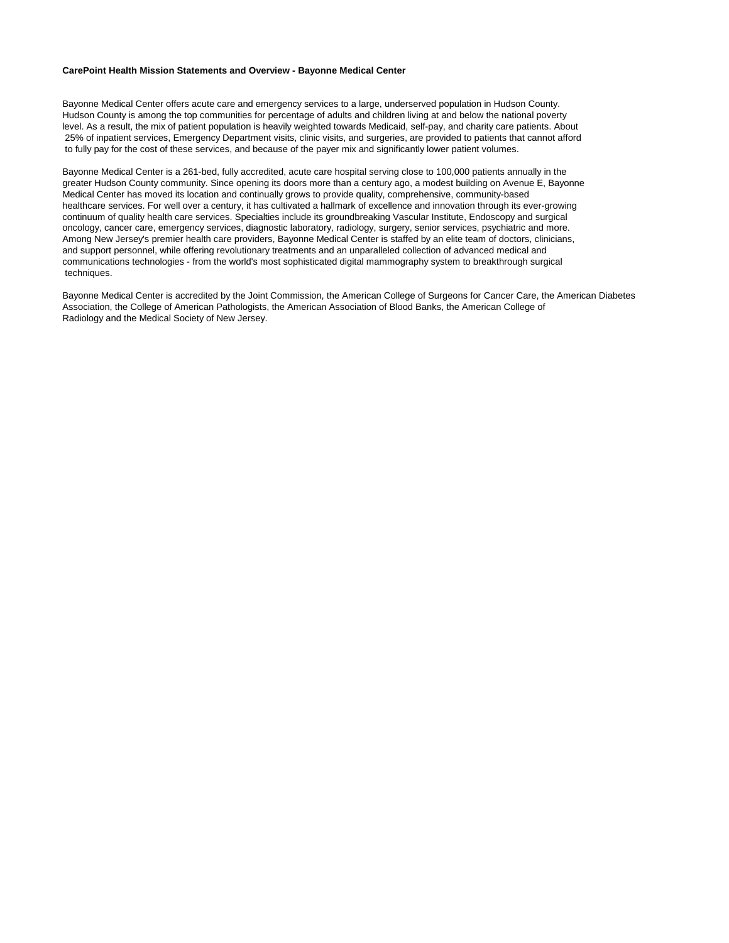#### **CarePoint Health Mission Statements and Overview - Bayonne Medical Center**

Bayonne Medical Center offers acute care and emergency services to a large, underserved population in Hudson County. Hudson County is among the top communities for percentage of adults and children living at and below the national poverty level. As a result, the mix of patient population is heavily weighted towards Medicaid, self-pay, and charity care patients. About 25% of inpatient services, Emergency Department visits, clinic visits, and surgeries, are provided to patients that cannot afford to fully pay for the cost of these services, and because of the payer mix and significantly lower patient volumes.

Bayonne Medical Center is a 261-bed, fully accredited, acute care hospital serving close to 100,000 patients annually in the greater Hudson County community. Since opening its doors more than a century ago, a modest building on Avenue E, Bayonne Medical Center has moved its location and continually grows to provide quality, comprehensive, community-based healthcare services. For well over a century, it has cultivated a hallmark of excellence and innovation through its ever-growing continuum of quality health care services. Specialties include its groundbreaking Vascular Institute, Endoscopy and surgical oncology, cancer care, emergency services, diagnostic laboratory, radiology, surgery, senior services, psychiatric and more. Among New Jersey's premier health care providers, Bayonne Medical Center is staffed by an elite team of doctors, clinicians, and support personnel, while offering revolutionary treatments and an unparalleled collection of advanced medical and communications technologies - from the world's most sophisticated digital mammography system to breakthrough surgical techniques.

Bayonne Medical Center is accredited by the Joint Commission, the American College of Surgeons for Cancer Care, the American Diabetes Association, the College of American Pathologists, the American Association of Blood Banks, the American College of Radiology and the Medical Society of New Jersey.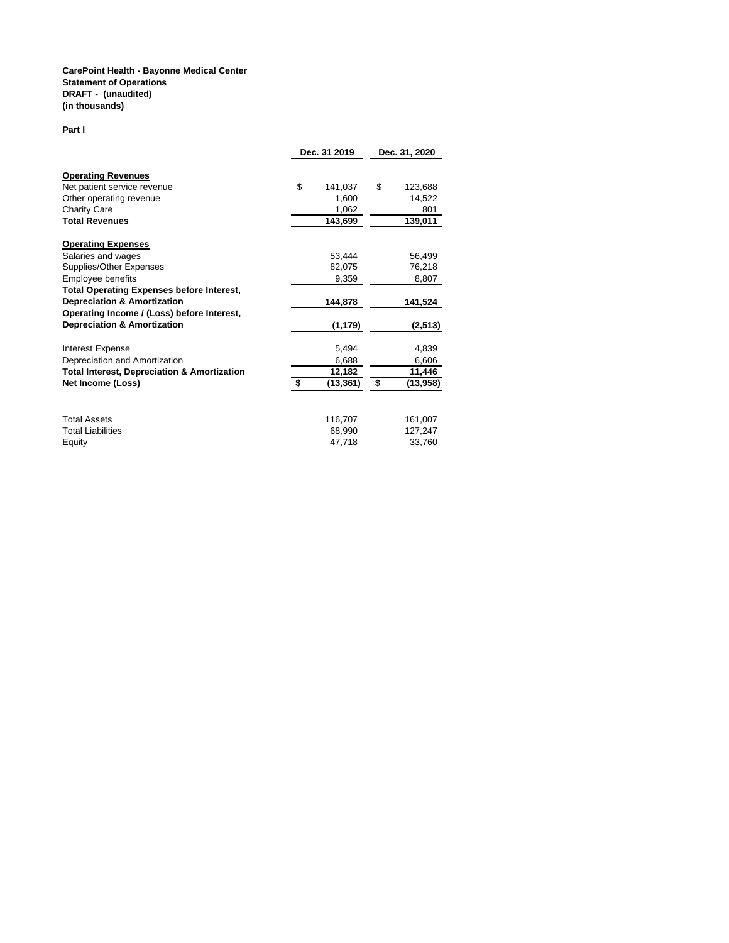### **CarePoint Health - Bayonne Medical Center Statement of Operations DRAFT - (unaudited) (in thousands)**

#### **Part I**

|                                                        | Dec. 31 2019 |           | Dec. 31, 2020 |          |
|--------------------------------------------------------|--------------|-----------|---------------|----------|
| <b>Operating Revenues</b>                              |              |           |               |          |
| Net patient service revenue                            | \$           | 141,037   | \$            | 123,688  |
| Other operating revenue                                |              | 1,600     |               | 14,522   |
| Charity Care                                           |              | 1,062     |               | 801      |
| <b>Total Revenues</b>                                  |              | 143,699   |               | 139,011  |
| <b>Operating Expenses</b>                              |              |           |               |          |
| Salaries and wages                                     |              | 53.444    |               | 56,499   |
| Supplies/Other Expenses                                |              | 82,075    |               | 76,218   |
| Employee benefits                                      |              | 9,359     |               | 8,807    |
| <b>Total Operating Expenses before Interest,</b>       |              |           |               |          |
| <b>Depreciation &amp; Amortization</b>                 |              | 144,878   |               | 141,524  |
| Operating Income / (Loss) before Interest,             |              |           |               |          |
| <b>Depreciation &amp; Amortization</b>                 |              | (1, 179)  |               | (2,513)  |
| <b>Interest Expense</b>                                |              | 5,494     |               | 4,839    |
| Depreciation and Amortization                          |              | 6,688     |               | 6,606    |
| <b>Total Interest, Depreciation &amp; Amortization</b> |              | 12,182    |               | 11,446   |
| Net Income (Loss)                                      | \$           | (13, 361) | - \$          | (13,958) |
|                                                        |              |           |               |          |
| <b>Total Assets</b>                                    |              | 116,707   |               | 161,007  |
| <b>Total Liabilities</b>                               |              | 68,990    |               | 127,247  |
| Equity                                                 |              | 47.718    |               | 33,760   |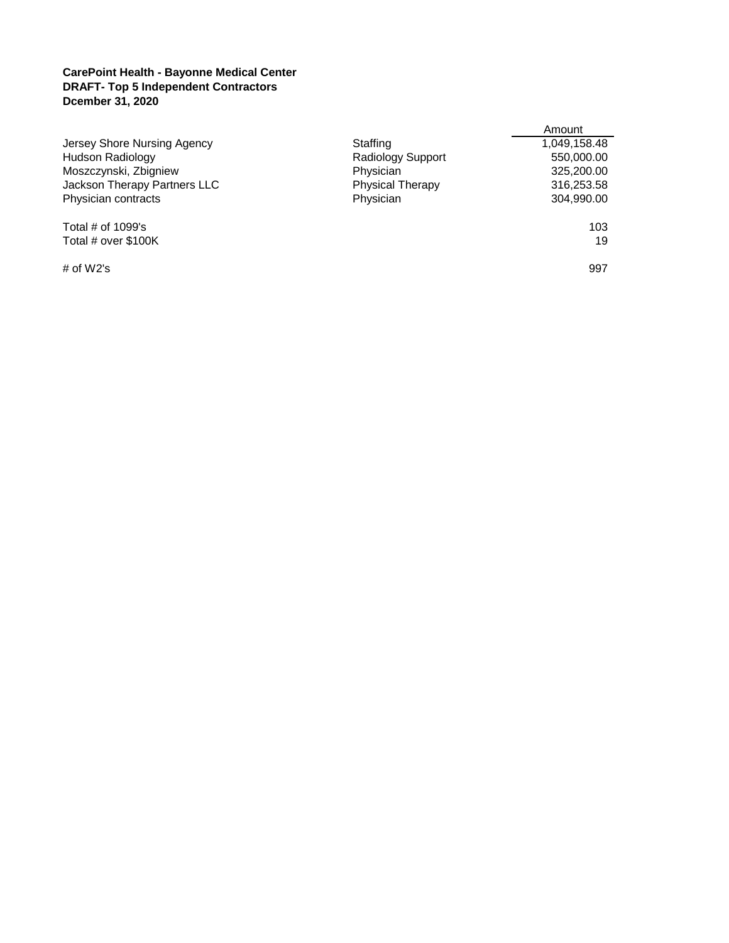## **CarePoint Health - Bayonne Medical Center DRAFT- Top 5 Independent Contractors Dcember 31, 2020**

|                              |                          | Amount       |
|------------------------------|--------------------------|--------------|
| Jersey Shore Nursing Agency  | Staffing                 | 1,049,158.48 |
| <b>Hudson Radiology</b>      | <b>Radiology Support</b> | 550,000.00   |
| Moszczynski, Zbigniew        | Physician                | 325,200.00   |
| Jackson Therapy Partners LLC | <b>Physical Therapy</b>  | 316,253.58   |
| Physician contracts          | Physician                | 304,990.00   |
| Total $#$ of 1099's          |                          | 103          |
| Total # over \$100K          |                          | 19           |
| # of $W2's$                  |                          | 997          |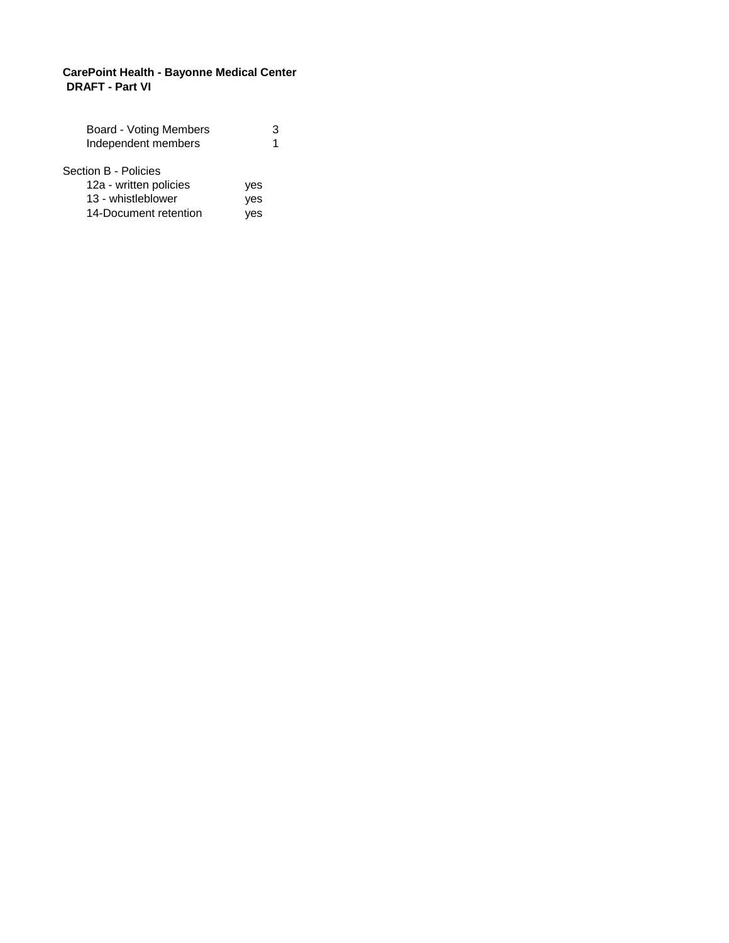## **CarePoint Health - Bayonne Medical Center DRAFT - Part VI**

| <b>Board - Voting Members</b> |     | 3 |
|-------------------------------|-----|---|
| Independent members           |     | 1 |
|                               |     |   |
| Section B - Policies          |     |   |
| 12a - written policies        | yes |   |
| 13 - whistleblower            | yes |   |
| 14-Document retention         | ves |   |
|                               |     |   |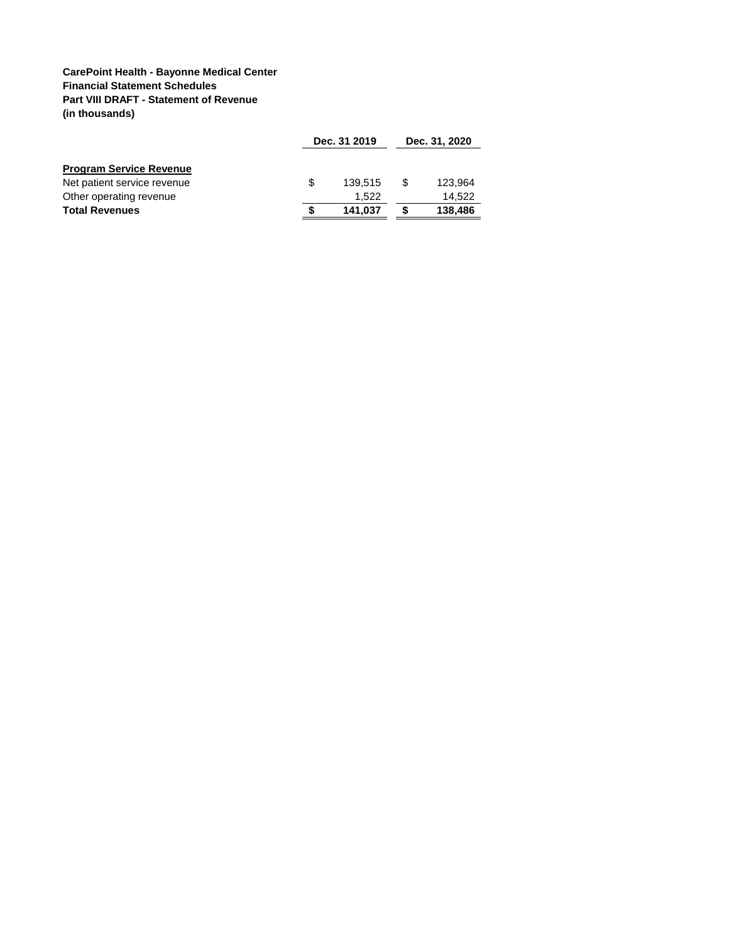## **CarePoint Health - Bayonne Medical Center Financial Statement Schedules Part VIII DRAFT - Statement of Revenue (in thousands)**

|                                | Dec. 31 2019 |         |     | Dec. 31, 2020 |  |
|--------------------------------|--------------|---------|-----|---------------|--|
| <b>Program Service Revenue</b> |              |         |     |               |  |
| Net patient service revenue    | \$.          | 139.515 | \$. | 123,964       |  |
| Other operating revenue        |              | 1.522   |     | 14.522        |  |
| <b>Total Revenues</b>          |              | 141.037 |     | 138,486       |  |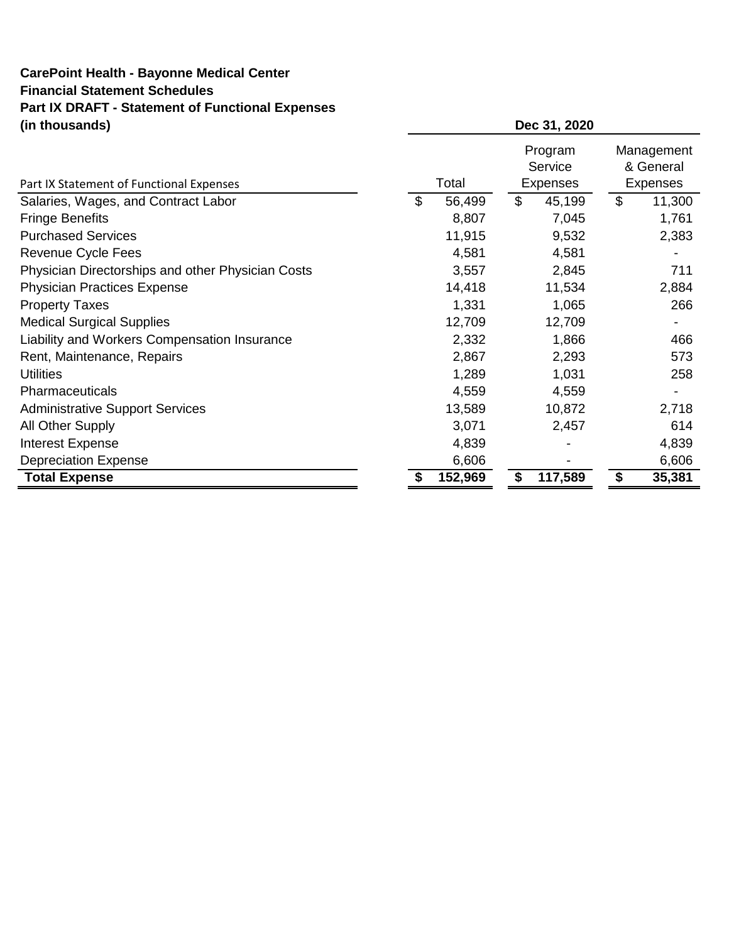# **CarePoint Health - Bayonne Medical Center Financial Statement Schedules Part IX DRAFT - Statement of Functional Expenses (in thousands)**

| Part IX Statement of Functional Expenses          | Total        | Program<br>Service<br>Expenses | Management<br>& General<br>Expenses |
|---------------------------------------------------|--------------|--------------------------------|-------------------------------------|
| Salaries, Wages, and Contract Labor               | \$<br>56,499 | \$<br>45,199                   | \$<br>11,300                        |
| <b>Fringe Benefits</b>                            | 8,807        | 7,045                          | 1,761                               |
| <b>Purchased Services</b>                         | 11,915       | 9,532                          | 2,383                               |
| Revenue Cycle Fees                                | 4,581        | 4,581                          |                                     |
| Physician Directorships and other Physician Costs | 3,557        | 2,845                          | 711                                 |
| <b>Physician Practices Expense</b>                | 14,418       | 11,534                         | 2,884                               |
| <b>Property Taxes</b>                             | 1,331        | 1,065                          | 266                                 |
| <b>Medical Surgical Supplies</b>                  | 12,709       | 12,709                         |                                     |
| Liability and Workers Compensation Insurance      | 2,332        | 1,866                          | 466                                 |
| Rent, Maintenance, Repairs                        | 2,867        | 2,293                          | 573                                 |
| <b>Utilities</b>                                  | 1,289        | 1,031                          | 258                                 |
| Pharmaceuticals                                   | 4,559        | 4,559                          |                                     |
| <b>Administrative Support Services</b>            | 13,589       | 10,872                         | 2,718                               |
| All Other Supply                                  | 3,071        | 2,457                          | 614                                 |
| Interest Expense                                  | 4,839        |                                | 4,839                               |
| <b>Depreciation Expense</b>                       | 6,606        |                                | 6,606                               |
| <b>Total Expense</b>                              | 152,969      | \$<br>117,589                  | \$<br>35,381                        |

**Dec 31, 2020**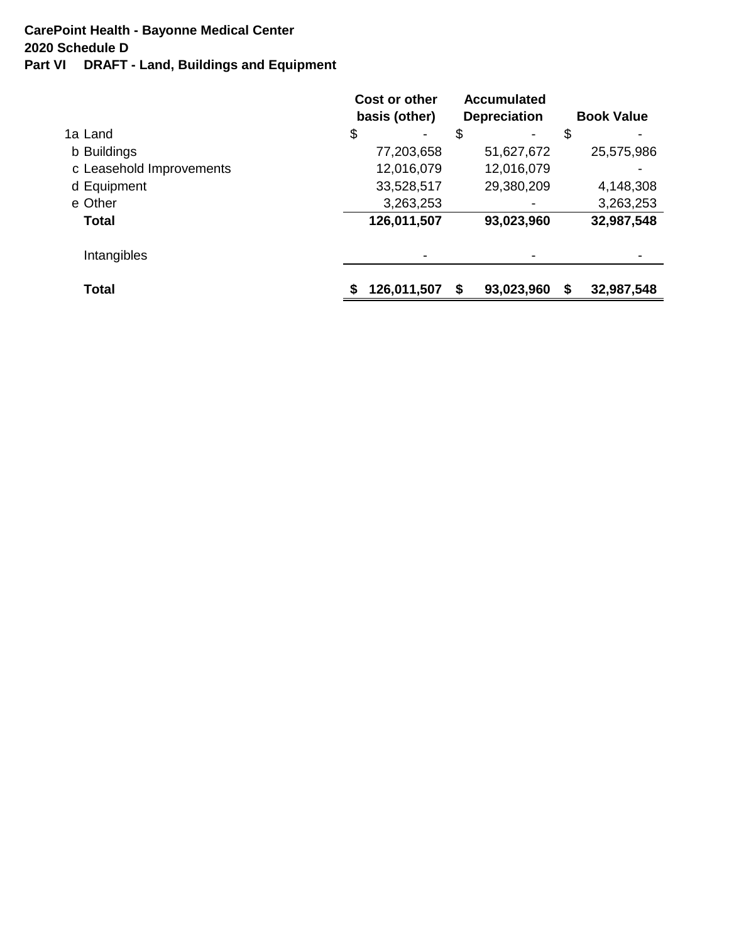# **Part VI DRAFT - Land, Buildings and Equipment 2020 Schedule D CarePoint Health - Bayonne Medical Center**

|                          | Cost or other<br>basis (other) | <b>Accumulated</b><br><b>Depreciation</b> | <b>Book Value</b> |
|--------------------------|--------------------------------|-------------------------------------------|-------------------|
| 1a Land                  | \$<br>$\overline{\phantom{0}}$ | \$                                        | \$                |
| b Buildings              | 77,203,658                     | 51,627,672                                | 25,575,986        |
| c Leasehold Improvements | 12,016,079                     | 12,016,079                                |                   |
| d Equipment              | 33,528,517                     | 29,380,209                                | 4,148,308         |
| e Other                  | 3,263,253                      |                                           | 3,263,253         |
| Total                    | 126,011,507                    | 93,023,960                                | 32,987,548        |
| Intangibles              |                                |                                           |                   |
| <b>Total</b>             | 126,011,507                    | 93,023,960<br>S                           | \$<br>32,987,548  |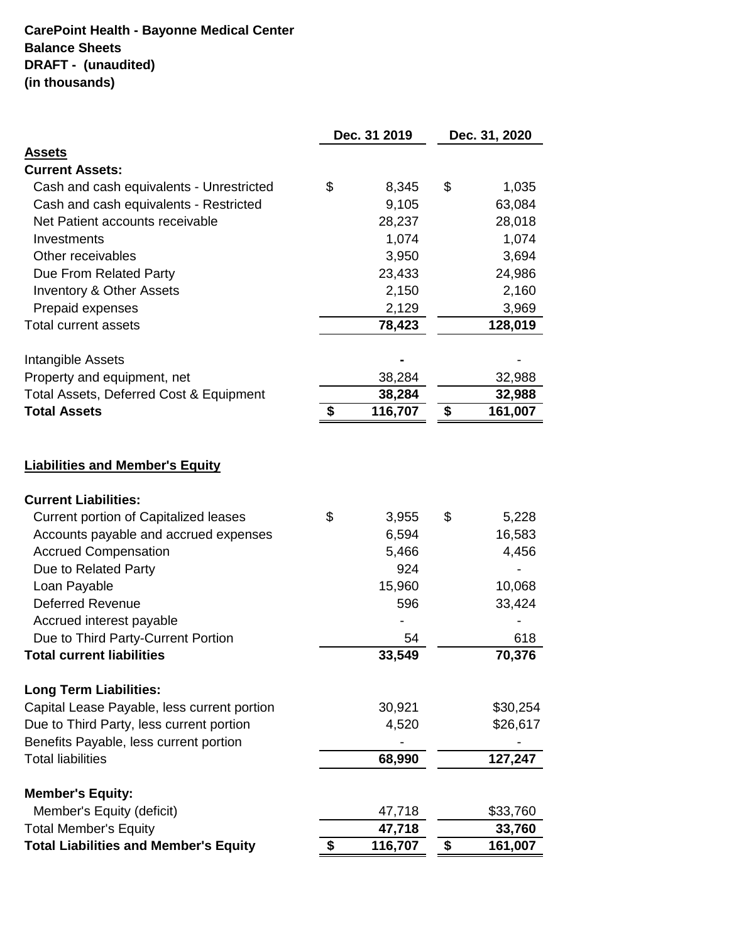# **CarePoint Health - Bayonne Medical Center Balance Sheets DRAFT - (unaudited) (in thousands)**

|                                                                 | Dec. 31 2019  | Dec. 31, 2020 |
|-----------------------------------------------------------------|---------------|---------------|
| <b>Assets</b>                                                   |               |               |
| <b>Current Assets:</b>                                          |               |               |
| Cash and cash equivalents - Unrestricted                        | \$<br>8,345   | \$<br>1,035   |
| Cash and cash equivalents - Restricted                          | 9,105         | 63,084        |
| Net Patient accounts receivable                                 | 28,237        | 28,018        |
| Investments                                                     | 1,074         | 1,074         |
| Other receivables                                               | 3,950         | 3,694         |
| Due From Related Party                                          | 23,433        | 24,986        |
| <b>Inventory &amp; Other Assets</b>                             | 2,150         | 2,160         |
| Prepaid expenses                                                | 2,129         | 3,969         |
| <b>Total current assets</b>                                     | 78,423        | 128,019       |
| Intangible Assets                                               |               |               |
| Property and equipment, net                                     | 38,284        | 32,988        |
| Total Assets, Deferred Cost & Equipment                         | 38,284        | 32,988        |
| <b>Total Assets</b>                                             | \$<br>116,707 | \$<br>161,007 |
| <b>Liabilities and Member's Equity</b>                          |               |               |
| <b>Current Liabilities:</b>                                     |               |               |
| <b>Current portion of Capitalized leases</b>                    | \$<br>3,955   | \$<br>5,228   |
| Accounts payable and accrued expenses                           | 6,594         | 16,583        |
| <b>Accrued Compensation</b>                                     | 5,466         | 4,456         |
| Due to Related Party                                            | 924           |               |
| Loan Payable                                                    | 15,960        | 10,068        |
| <b>Deferred Revenue</b>                                         | 596           | 33,424        |
| Accrued interest payable                                        |               |               |
| Due to Third Party-Current Portion<br>Total current liabilities | 54            | 618           |
|                                                                 | 33,549        | 70,376        |
| <b>Long Term Liabilities:</b>                                   |               |               |
| Capital Lease Payable, less current portion                     | 30,921        | \$30,254      |
| Due to Third Party, less current portion                        | 4,520         | \$26,617      |
| Benefits Payable, less current portion                          |               |               |
| <b>Total liabilities</b>                                        | 68,990        | 127,247       |
| <b>Member's Equity:</b>                                         |               |               |
| Member's Equity (deficit)                                       | 47,718        | \$33,760      |
| <b>Total Member's Equity</b>                                    | 47,718        | 33,760        |
| <b>Total Liabilities and Member's Equity</b>                    | \$<br>116,707 | \$<br>161,007 |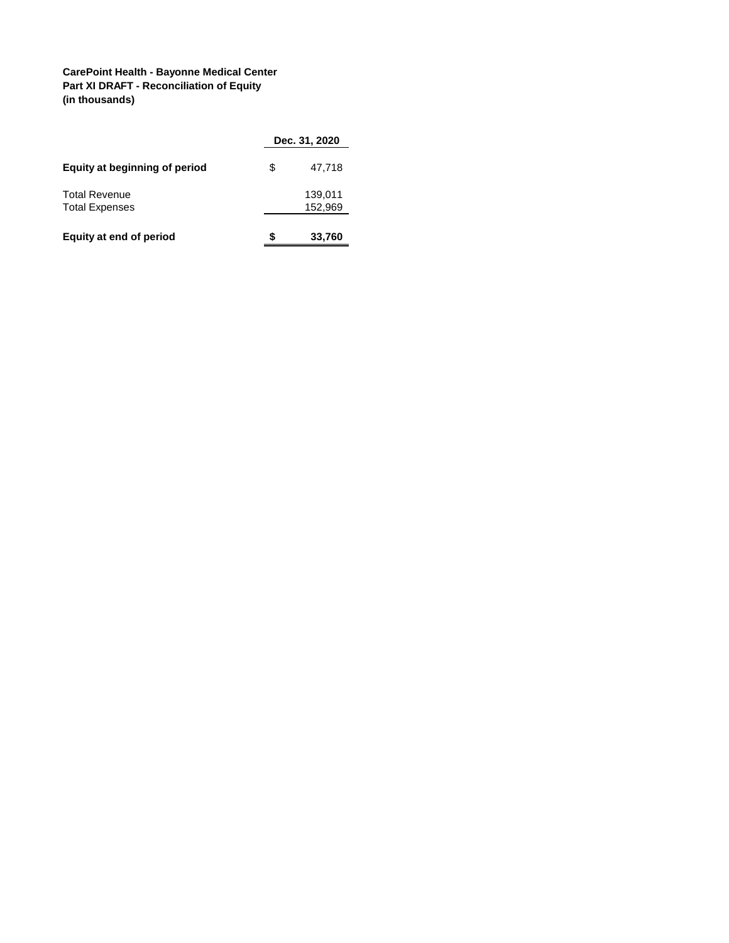## **CarePoint Health - Bayonne Medical Center Part XI DRAFT - Reconciliation of Equity (in thousands)**

|                                               |    | Dec. 31, 2020      |
|-----------------------------------------------|----|--------------------|
| Equity at beginning of period                 | \$ | 47,718             |
| <b>Total Revenue</b><br><b>Total Expenses</b> |    | 139,011<br>152,969 |
| Equity at end of period                       | S  | 33,760             |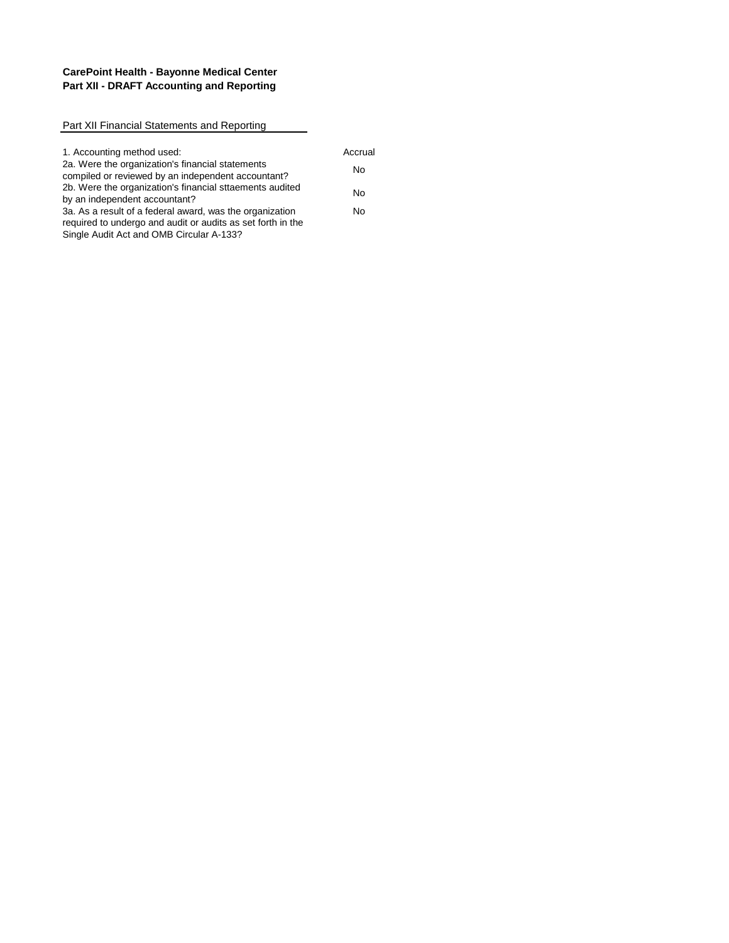## **CarePoint Health - Bayonne Medical Center Part XII - DRAFT Accounting and Reporting**

| Part XII Financial Statements and Reporting                                                                                                                         |         |
|---------------------------------------------------------------------------------------------------------------------------------------------------------------------|---------|
|                                                                                                                                                                     |         |
| 1. Accounting method used:                                                                                                                                          | Accrual |
| 2a. Were the organization's financial statements<br>compiled or reviewed by an independent accountant?                                                              | No      |
| 2b. Were the organization's financial sttaements audited<br>by an independent accountant?                                                                           | No      |
| 3a. As a result of a federal award, was the organization<br>required to undergo and audit or audits as set forth in the<br>Single Audit Act and OMB Circular A-133? | N٥      |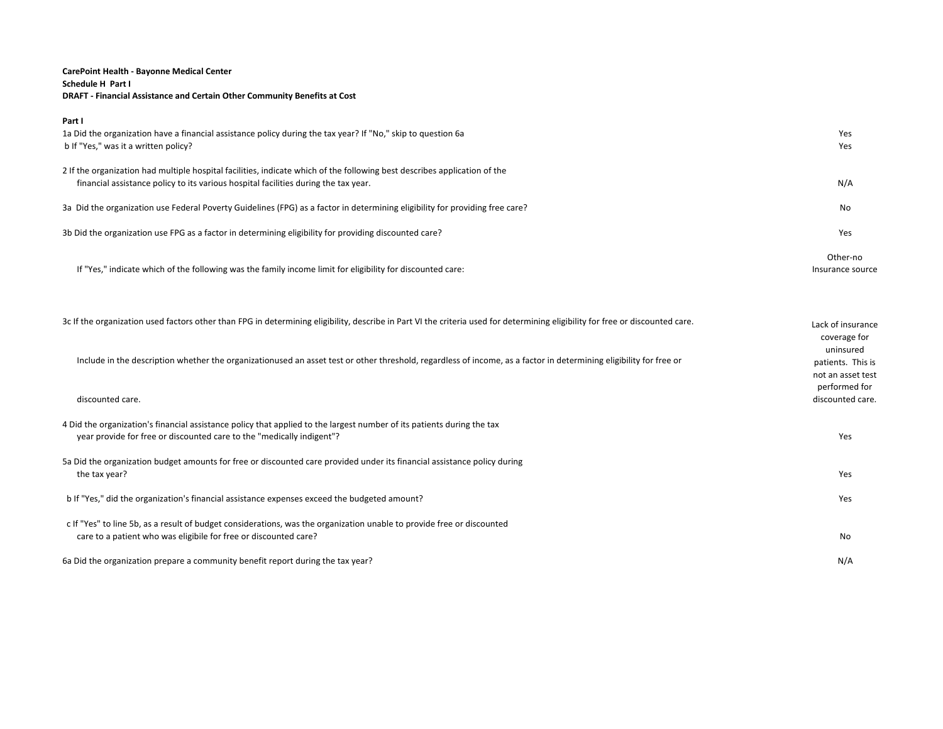### **CarePoint Health - Bayonne Medical Center Schedule H Part I DRAFT - Financial Assistance and Certain Other Community Benefits at Cost**

| Part I                                                                                                                       |                  |
|------------------------------------------------------------------------------------------------------------------------------|------------------|
| 1a Did the organization have a financial assistance policy during the tax year? If "No," skip to question 6a                 | Yes              |
| b If "Yes," was it a written policy?                                                                                         | Yes              |
| 2 If the organization had multiple hospital facilities, indicate which of the following best describes application of the    |                  |
| financial assistance policy to its various hospital facilities during the tax year.                                          | N/A              |
|                                                                                                                              |                  |
| 3a Did the organization use Federal Poverty Guidelines (FPG) as a factor in determining eligibility for providing free care? | No               |
| 3b Did the organization use FPG as a factor in determining eligibility for providing discounted care?                        | Yes              |
|                                                                                                                              | Other-no         |
| If "Yes," indicate which of the following was the family income limit for eligibility for discounted care:                   | Insurance source |
|                                                                                                                              |                  |
|                                                                                                                              |                  |

| 3c If the organization used factors other than FPG in determining eligibility, describe in Part VI the criteria used for determining eligibility for free or discounted care.                   | Lack of insurance<br>coverage for<br>uninsured          |
|-------------------------------------------------------------------------------------------------------------------------------------------------------------------------------------------------|---------------------------------------------------------|
| Include in the description whether the organizationused an asset test or other threshold, regardless of income, as a factor in determining eligibility for free or                              | patients. This is<br>not an asset test<br>performed for |
| discounted care.                                                                                                                                                                                | discounted care.                                        |
| 4 Did the organization's financial assistance policy that applied to the largest number of its patients during the tax<br>year provide for free or discounted care to the "medically indigent"? | Yes                                                     |
| 5a Did the organization budget amounts for free or discounted care provided under its financial assistance policy during<br>the tax year?                                                       | Yes                                                     |
| b If "Yes," did the organization's financial assistance expenses exceed the budgeted amount?                                                                                                    | Yes                                                     |
| c If "Yes" to line 5b, as a result of budget considerations, was the organization unable to provide free or discounted<br>care to a patient who was eligibile for free or discounted care?      | No                                                      |
| 6a Did the organization prepare a community benefit report during the tax year?                                                                                                                 | N/A                                                     |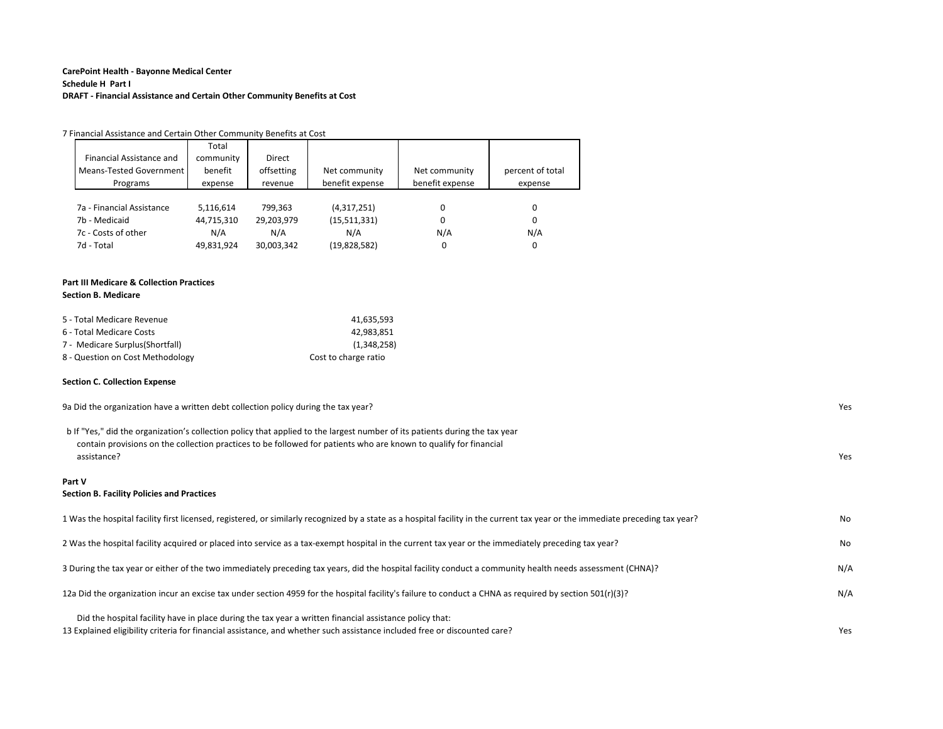### **CarePoint Health - Bayonne Medical Center Schedule H Part I DRAFT - Financial Assistance and Certain Other Community Benefits at Cost**

|                           | Total      |            |                 |                 |                  |
|---------------------------|------------|------------|-----------------|-----------------|------------------|
| Financial Assistance and  | community  | Direct     |                 |                 |                  |
| Means-Tested Government   | benefit    | offsetting | Net community   | Net community   | percent of total |
| Programs                  | expense    | revenue    | benefit expense | benefit expense | expense          |
|                           |            |            |                 |                 |                  |
| 7a - Financial Assistance | 5,116,614  | 799.363    | (4,317,251)     | 0               | 0                |
| 7h - Medicaid             | 44,715,310 | 29,203,979 | (15,511,331)    | 0               | 0                |
| 7c - Costs of other       | N/A        | N/A        | N/A             | N/A             | N/A              |
| 7d - Total                | 49,831,924 | 30,003,342 | (19,828,582)    | 0               | 0                |

# **Part III Medicare & Collection Practices**

|  | <b>Section B. Medicare</b> |
|--|----------------------------|
|--|----------------------------|

| 5 - Total Medicare Revenue       | 41.635.593           |  |
|----------------------------------|----------------------|--|
| 6 - Total Medicare Costs         | 42.983.851           |  |
| 7 - Medicare Surplus (Shortfall) | (1.348.258)          |  |
| 8 - Question on Cost Methodology | Cost to charge ratio |  |

#### **Section C. Collection Expense**

| 9a Did the organization have a written debt collection policy during the tax year?                                                                                                                                                                              | Yes |
|-----------------------------------------------------------------------------------------------------------------------------------------------------------------------------------------------------------------------------------------------------------------|-----|
| b If "Yes," did the organization's collection policy that applied to the largest number of its patients during the tax year<br>contain provisions on the collection practices to be followed for patients who are known to qualify for financial<br>assistance? | Yes |
| Part V<br><b>Section B. Facility Policies and Practices</b>                                                                                                                                                                                                     |     |
| 1 Was the hospital facility first licensed, registered, or similarly recognized by a state as a hospital facility in the current tax year or the immediate preceding tax year?                                                                                  | No. |
| 2 Was the hospital facility acquired or placed into service as a tax-exempt hospital in the current tax year or the immediately preceding tax year?                                                                                                             | No  |
| 3 During the tax year or either of the two immediately preceding tax years, did the hospital facility conduct a community health needs assessment (CHNA)?                                                                                                       | N/A |
| 12(r)(3)? 12a Did the organization incur an excise tax under section 4959 for the hospital facility's failure to conduct a CHNA as required by section 501(r)(3)?                                                                                               | N/A |
| Did the hospital facility have in place during the tax year a written financial assistance policy that:<br>13 Explained eligibility criteria for financial assistance, and whether such assistance included free or discounted care?                            | Yes |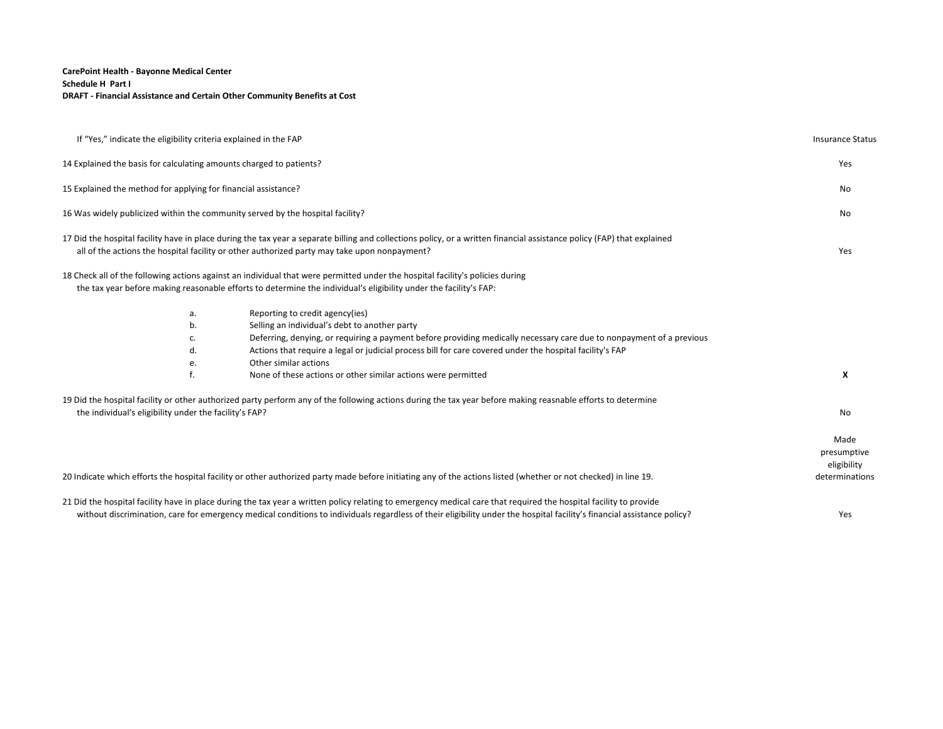### **CarePoint Health - Bayonne Medical Center Schedule H Part I DRAFT - Financial Assistance and Certain Other Community Benefits at Cost**

| If "Yes," indicate the eligibility criteria explained in the FAP                                                                                                                                                                                                                                                                             | <b>Insurance Status</b>            |
|----------------------------------------------------------------------------------------------------------------------------------------------------------------------------------------------------------------------------------------------------------------------------------------------------------------------------------------------|------------------------------------|
| 14 Explained the basis for calculating amounts charged to patients?                                                                                                                                                                                                                                                                          | Yes                                |
| 15 Explained the method for applying for financial assistance?                                                                                                                                                                                                                                                                               | No                                 |
| 16 Was widely publicized within the community served by the hospital facility?                                                                                                                                                                                                                                                               | No                                 |
| 17 Did the hospital facility have in place during the tax year a separate billing and collections policy, or a written financial assistance policy (FAP) that explained<br>all of the actions the hospital facility or other authorized party may take upon nonpayment?                                                                      | Yes                                |
| 18 Check all of the following actions against an individual that were permitted under the hospital facility's policies during<br>the tax year before making reasonable efforts to determine the individual's eligibility under the facility's FAP:                                                                                           |                                    |
| Reporting to credit agency(ies)<br>a.                                                                                                                                                                                                                                                                                                        |                                    |
| b.<br>Selling an individual's debt to another party                                                                                                                                                                                                                                                                                          |                                    |
| Deferring, denying, or requiring a payment before providing medically necessary care due to nonpayment of a previous<br>c.                                                                                                                                                                                                                   |                                    |
| Actions that require a legal or judicial process bill for care covered under the hospital facility's FAP<br>d.                                                                                                                                                                                                                               |                                    |
| Other similar actions<br>e.                                                                                                                                                                                                                                                                                                                  |                                    |
| f.<br>None of these actions or other similar actions were permitted                                                                                                                                                                                                                                                                          | X                                  |
| 19 Did the hospital facility or other authorized party perform any of the following actions during the tax year before making reasnable efforts to determine                                                                                                                                                                                 |                                    |
| the individual's eligibility under the facility's FAP?                                                                                                                                                                                                                                                                                       | No                                 |
|                                                                                                                                                                                                                                                                                                                                              | Made<br>presumptive<br>eligibility |
| 20 Indicate which efforts the hospital facility or other authorized party made before initiating any of the actions listed (whether or not checked) in line 19.                                                                                                                                                                              | determinations                     |
| 21 Did the hospital facility have in place during the tax year a written policy relating to emergency medical care that required the hospital facility to provide<br>without discrimination, care for emergency medical conditions to individuals regardless of their eligibility under the hospital facility's financial assistance policy? | Yes                                |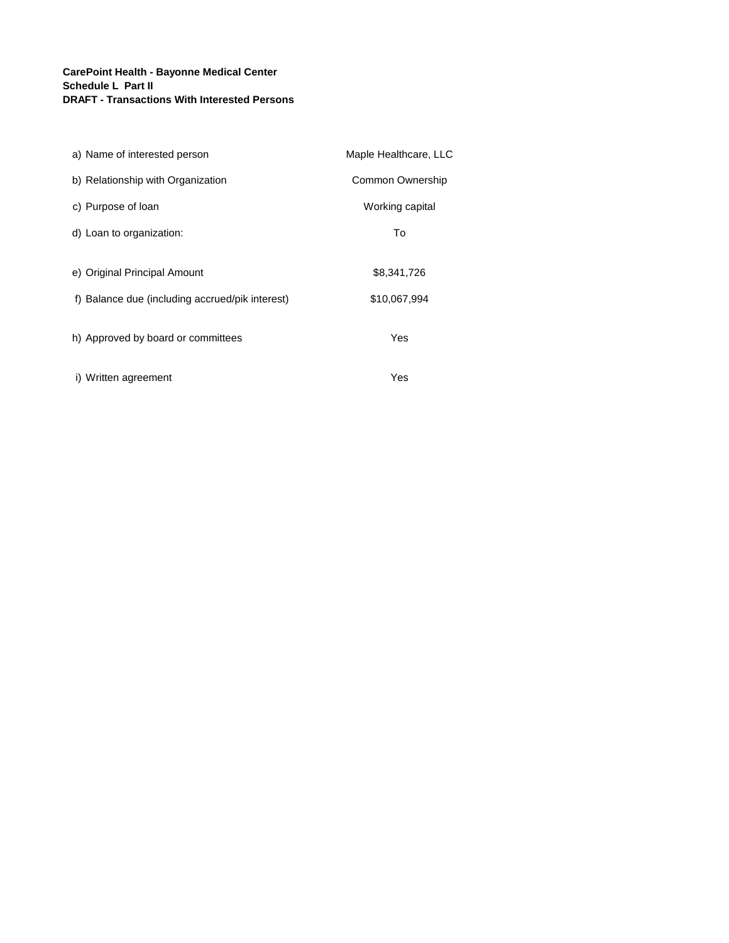## **CarePoint Health - Bayonne Medical Center Schedule L Part II DRAFT - Transactions With Interested Persons**

| a) Name of interested person                    | Maple Healthcare, LLC |  |
|-------------------------------------------------|-----------------------|--|
| b) Relationship with Organization               | Common Ownership      |  |
| c) Purpose of loan                              | Working capital       |  |
| d) Loan to organization:                        | To                    |  |
| e) Original Principal Amount                    | \$8,341,726           |  |
| f) Balance due (including accrued/pik interest) | \$10,067,994          |  |
| h) Approved by board or committees              | Yes                   |  |
| i) Written agreement                            | Yes                   |  |